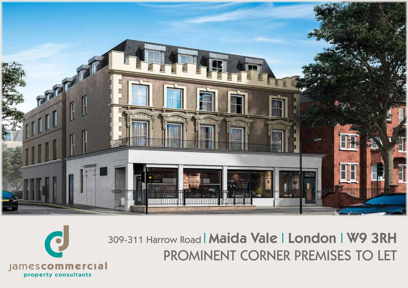



# 309-311 Harrow Road | Maida Vale | London | W9 3RH PROMINENT CORNER PREMISES TO LET